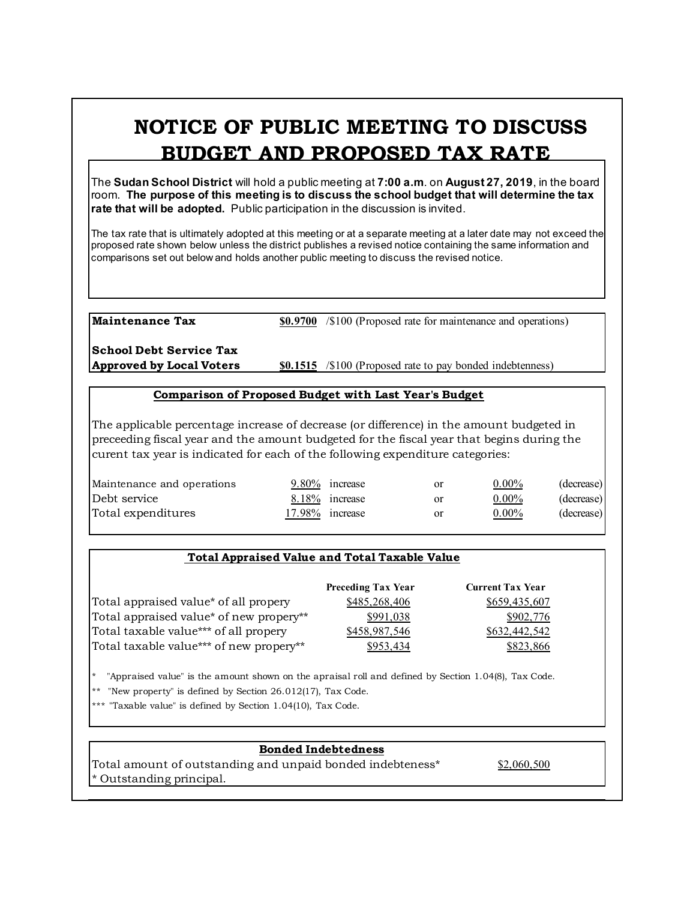# **NOTICE OF PUBLIC MEETING TO DISCUSS BUDGET AND PROPOSED TAX RATE**

The **Sudan School District** will hold a public meeting at **7:00 a.m**. on **August 27, 2019**, in the board room. **The purpose of this meeting is to discuss the school budget that will determine the tax rate that will be adopted.** Public participation in the discussion is invited.

The tax rate that is ultimately adopted at this meeting or at a separate meeting at a later date may not exceed the proposed rate shown below unless the district publishes a revised notice containing the same information and comparisons set out below and holds another public meeting to discuss the revised notice.

**Maintenance Tax \$0.9700** /\$100 (Proposed rate for maintenance and operations)

**School Debt Service Tax**

**Approved by Local Voters \$0.1515** /\$100 (Proposed rate to pay bonded indebtenness)

#### **Comparison of Proposed Budget with Last Year's Budget**

The applicable percentage increase of decrease (or difference) in the amount budgeted in preceeding fiscal year and the amount budgeted for the fiscal year that begins during the curent tax year is indicated for each of the following expenditure categories:

| Maintenance and operations | 9.80% increase  | <b>or</b> | $0.00\%$ | (decrease) |
|----------------------------|-----------------|-----------|----------|------------|
| Debt service               | 8.18% increase  | or        | $0.00\%$ | (decrease) |
| Total expenditures         | 17.98% increase | or        | $0.00\%$ | (decrease) |

## **Total Appraised Value and Total Taxable Value**

|                                         | <b>Preceding Tax Year</b> | <b>Current Tax Year</b> |
|-----------------------------------------|---------------------------|-------------------------|
| Total appraised value* of all propery   | \$485,268,406             | \$659,435,607           |
| Total appraised value* of new propery** | \$991,038                 | \$902,776               |
| Total taxable value*** of all propery   | \$458,987,546             | \$632,442,542           |
| Total taxable value*** of new propery** | \$953.434                 | \$823,866               |

\* "Appraised value" is the amount shown on the apraisal roll and defined by Section 1.04(8), Tax Code.

"New property" is defined by Section  $26.012(17)$ , Tax Code.

\*\*\* "Taxable value" is defined by Section 1.04(10), Tax Code.

## **Bonded Indebtedness**

Total amount of outstanding and unpaid bonded indebteness\* \$2,060,500 \* Outstanding principal.